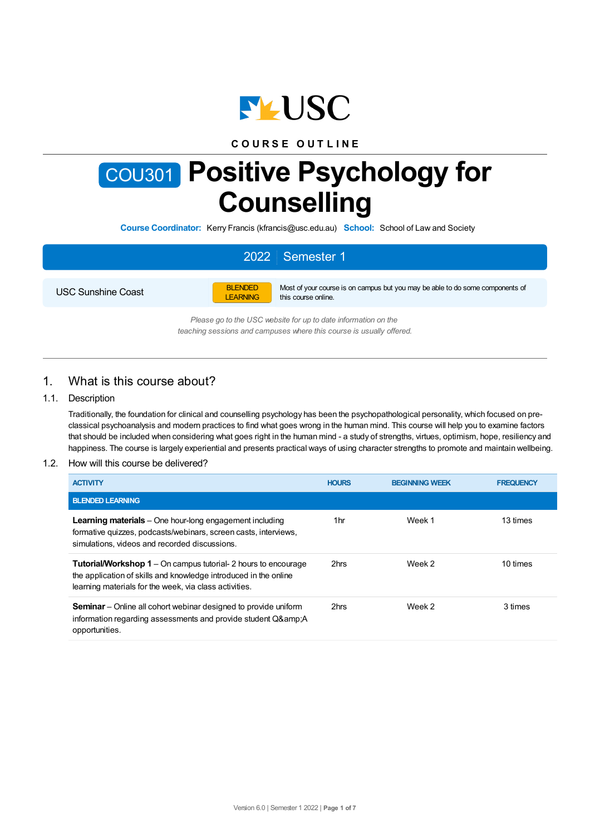

## **C O U R S E O U T L I N E**

# COU301 **Positive Psychology for Counselling**

**Course Coordinator:** Kerry Francis (kfrancis@usc.edu.au) **School:** School of Law and Society

# 2022 Semester 1

USC Sunshine Coast



Most of your course is on campus but you may be able to do some components of this course online.

*Please go to the USC website for up to date information on the teaching sessions and campuses where this course is usually offered.*

## 1. What is this course about?

#### 1.1. Description

Traditionally, the foundation for clinical and counselling psychology has been the psychopathological personality, which focused on preclassical psychoanalysis and modern practices to find what goes wrong in the human mind. This course will help you to examine factors that should be included when considering what goes right in the human mind - a study of strengths, virtues, optimism, hope, resiliency and happiness. The course is largely experiential and presents practical ways of using character strengths to promote and maintain wellbeing.

#### 1.2. How will this course be delivered?

| <b>ACTIVITY</b>                                                                                                                                                                                     | <b>HOURS</b> | <b>BEGINNING WEEK</b> | <b>FREQUENCY</b> |
|-----------------------------------------------------------------------------------------------------------------------------------------------------------------------------------------------------|--------------|-----------------------|------------------|
| <b>BLENDED LEARNING</b>                                                                                                                                                                             |              |                       |                  |
| <b>Learning materials</b> – One hour-long engagement including<br>formative quizzes, podcasts/webinars, screen casts, interviews,<br>simulations, videos and recorded discussions.                  | 1hr          | Week 1                | 13 times         |
| <b>Tutorial/Workshop 1</b> – On campus tutorial- 2 hours to encourage<br>the application of skills and knowledge introduced in the online<br>learning materials for the week, via class activities. | 2hrs         | Week 2                | 10 times         |
| <b>Seminar</b> – Online all cohort webinar designed to provide uniform<br>information regarding assessments and provide student Q& A<br>opportunities.                                              | 2hrs         | Week 2                | 3 times          |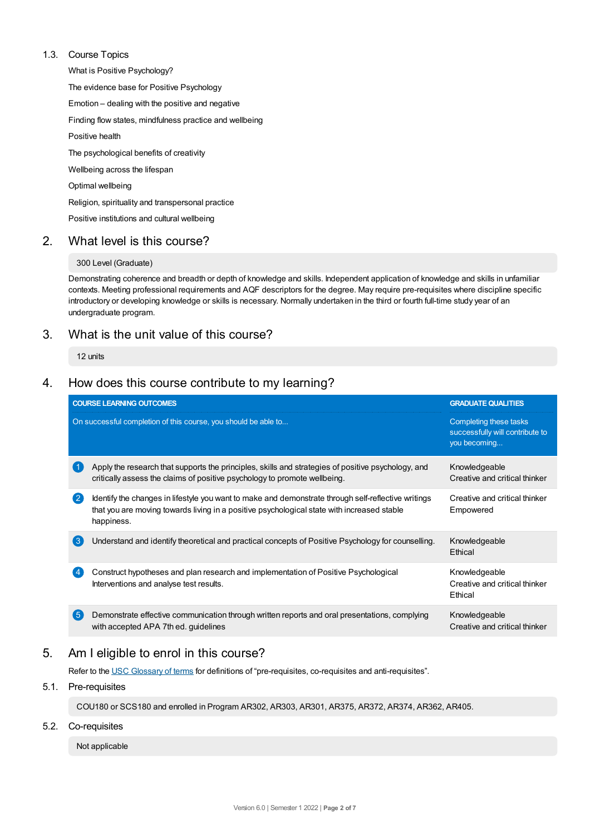#### 1.3. Course Topics

What is Positive Psychology? The evidence base for Positive Psychology Emotion – dealing with the positive and negative Finding flow states, mindfulness practice and wellbeing Positive health The psychological benefits of creativity Wellbeing across the lifespan Optimal wellbeing Religion, spirituality and transpersonal practice Positive institutions and cultural wellbeing

## 2. What level is this course?

#### 300 Level (Graduate)

Demonstrating coherence and breadth or depth of knowledge and skills. Independent application of knowledge and skills in unfamiliar contexts. Meeting professional requirements and AQF descriptors for the degree. May require pre-requisites where discipline specific introductory or developing knowledge or skills is necessary. Normally undertaken in the third or fourth full-time study year of an undergraduate program.

## 3. What is the unit value of this course?

12 units

## 4. How does this course contribute to my learning?

|                   | <b>COURSE LEARNING OUTCOMES</b>                                                                                                                                                                                 | <b>GRADUATE QUALITIES</b>                                                 |
|-------------------|-----------------------------------------------------------------------------------------------------------------------------------------------------------------------------------------------------------------|---------------------------------------------------------------------------|
|                   | On successful completion of this course, you should be able to                                                                                                                                                  | Completing these tasks<br>successfully will contribute to<br>you becoming |
|                   | Apply the research that supports the principles, skills and strategies of positive psychology, and<br>critically assess the claims of positive psychology to promote wellbeing.                                 | Knowledgeable<br>Creative and critical thinker                            |
| $\mathbf{2}$      | Identify the changes in lifestyle you want to make and demonstrate through self-reflective writings<br>that you are moving towards living in a positive psychological state with increased stable<br>happiness. | Creative and critical thinker<br>Empowered                                |
| $\left( 3\right)$ | Understand and identify theoretical and practical concepts of Positive Psychology for counselling.                                                                                                              | Knowledgeable<br>Ethical                                                  |
|                   | Construct hypotheses and plan research and implementation of Positive Psychological<br>Interventions and analyse test results.                                                                                  | Knowledgeable<br>Creative and critical thinker<br>Ethical                 |
| $\sqrt{5}$        | Demonstrate effective communication through written reports and oral presentations, complying<br>with accepted APA 7th ed. guidelines                                                                           | Knowledgeable<br>Creative and critical thinker                            |

# 5. Am Ieligible to enrol in this course?

Refer to the USC [Glossary](https://www.usc.edu.au/about/policies-and-procedures/glossary-of-terms-for-policy-and-procedures) of terms for definitions of "pre-requisites, co-requisites and anti-requisites".

## 5.1. Pre-requisites

COU180 or SCS180 and enrolled in Program AR302, AR303, AR301, AR375, AR372, AR374, AR362, AR405.

#### 5.2. Co-requisites

Not applicable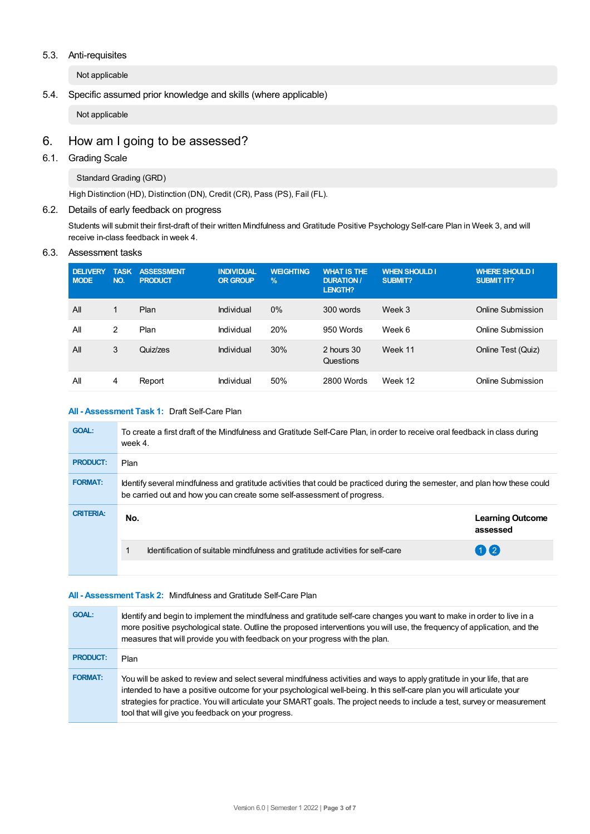#### 5.3. Anti-requisites

Not applicable

### 5.4. Specific assumed prior knowledge and skills (where applicable)

Not applicable

# 6. How am Igoing to be assessed?

## 6.1. Grading Scale

Standard Grading (GRD)

High Distinction (HD), Distinction (DN), Credit (CR), Pass (PS), Fail (FL).

#### 6.2. Details of early feedback on progress

Students will submit their first-draft of their written Mindfulness and Gratitude Positive Psychology Self-care Plan in Week 3, and will receive in-class feedback in week 4.

#### 6.3. Assessment tasks

| <b>DELIVERY</b><br><b>MODE</b> | <b>TASK</b><br><b>NO</b> | <b>ASSESSMENT</b><br><b>PRODUCT</b> | <b>INDIVIDUAL</b><br><b>OR GROUP</b> | <b>WEIGHTING</b><br>$\frac{9}{6}$ | <b>WHAT IS THE</b><br><b>DURATION /</b><br><b>LENGTH?</b> | <b>WHEN SHOULD I</b><br><b>SUBMIT?</b> | <b>WHERE SHOULD I</b><br><b>SUBMIT IT?</b> |
|--------------------------------|--------------------------|-------------------------------------|--------------------------------------|-----------------------------------|-----------------------------------------------------------|----------------------------------------|--------------------------------------------|
| All                            | $\mathbf{1}$             | Plan                                | Individual                           | 0%                                | 300 words                                                 | Week 3                                 | Online Submission                          |
| All                            | 2                        | Plan                                | Individual                           | 20%                               | 950 Words                                                 | Week 6                                 | Online Submission                          |
| All                            | 3                        | Quiz/zes                            | Individual                           | 30%                               | 2 hours 30<br>Questions                                   | Week 11                                | Online Test (Quiz)                         |
| All                            | 4                        | Report                              | Individual                           | 50%                               | 2800 Words                                                | Week 12                                | Online Submission                          |

#### **All - Assessment Task 1:** Draft Self-Care Plan

| <b>GOAL:</b>     | To create a first draft of the Mindfulness and Gratitude Self-Care Plan, in order to receive oral feedback in class during<br>week 4.                                                                  |                                     |
|------------------|--------------------------------------------------------------------------------------------------------------------------------------------------------------------------------------------------------|-------------------------------------|
| <b>PRODUCT:</b>  | <b>Plan</b>                                                                                                                                                                                            |                                     |
| <b>FORMAT:</b>   | Identify several mindfulness and gratitude activities that could be practiced during the semester, and plan how these could<br>be carried out and how you can create some self-assessment of progress. |                                     |
| <b>CRITERIA:</b> | No.                                                                                                                                                                                                    | <b>Learning Outcome</b><br>assessed |
|                  | Identification of suitable mindfulness and gratitude activities for self-care                                                                                                                          | $\mathbf{1}$ $\mathbf{2}$           |
|                  |                                                                                                                                                                                                        |                                     |

#### **All - Assessment Task 2:** Mindfulness and Gratitude Self-Care Plan

| <b>GOAL:</b>    | Identify and begin to implement the mindfulness and gratitude self-care changes you want to make in order to live in a<br>more positive psychological state. Outline the proposed interventions you will use, the frequency of application, and the<br>measures that will provide you with feedback on your progress with the plan.                                                                                                   |
|-----------------|---------------------------------------------------------------------------------------------------------------------------------------------------------------------------------------------------------------------------------------------------------------------------------------------------------------------------------------------------------------------------------------------------------------------------------------|
| <b>PRODUCT:</b> | Plan                                                                                                                                                                                                                                                                                                                                                                                                                                  |
| <b>FORMAT:</b>  | You will be asked to review and select several mindfulness activities and ways to apply gratitude in your life, that are<br>intended to have a positive outcome for your psychological well-being. In this self-care plan you will articulate your<br>strategies for practice. You will articulate your SMART goals. The project needs to include a test, survey or measurement<br>tool that will give you feedback on your progress. |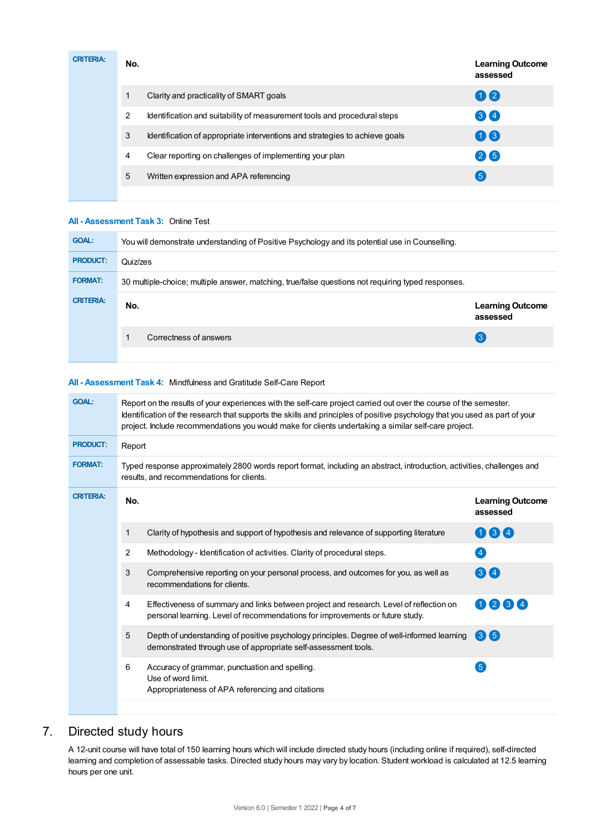| <b>CRITERIA:</b> | No. |                                                                             | <b>Learning Outcome</b><br>assessed |
|------------------|-----|-----------------------------------------------------------------------------|-------------------------------------|
|                  |     | Clarity and practicality of SMART goals                                     | 02                                  |
|                  | 2   | Identification and suitability of measurement tools and procedural steps    | 34                                  |
|                  | 3   | Identification of appropriate interventions and strategies to achieve goals | $\mathbf{0}$ $\mathbf{3}$           |
|                  | 4   | Clear reporting on challenges of implementing your plan                     | 26                                  |
|                  | 5   | Written expression and APA referencing                                      | 5 <sup>5</sup>                      |
|                  |     |                                                                             |                                     |

#### **All - Assessment Task 3:** Online Test

| <b>GOAL:</b>     | You will demonstrate understanding of Positive Psychology and its potential use in Counselling.    |                                     |  |  |  |
|------------------|----------------------------------------------------------------------------------------------------|-------------------------------------|--|--|--|
| <b>PRODUCT:</b>  | Quiz/zes                                                                                           |                                     |  |  |  |
| <b>FORMAT:</b>   | 30 multiple-choice; multiple answer, matching, true/false questions not requiring typed responses. |                                     |  |  |  |
|                  |                                                                                                    |                                     |  |  |  |
| <b>CRITERIA:</b> | No.                                                                                                | <b>Learning Outcome</b><br>assessed |  |  |  |
|                  | Correctness of answers                                                                             | (ვ                                  |  |  |  |

#### **All - Assessment Task 4:** Mindfulness and Gratitude Self-Care Report

| <b>GOAL:</b>     | Report on the results of your experiences with the self-care project carried out over the course of the semester.<br>Identification of the research that supports the skills and principles of positive psychology that you used as part of your<br>project. Include recommendations you would make for clients undertaking a similar self-care project. |                                                                                                                                                                          |                        |  |  |  |  |
|------------------|----------------------------------------------------------------------------------------------------------------------------------------------------------------------------------------------------------------------------------------------------------------------------------------------------------------------------------------------------------|--------------------------------------------------------------------------------------------------------------------------------------------------------------------------|------------------------|--|--|--|--|
| <b>PRODUCT:</b>  | Report                                                                                                                                                                                                                                                                                                                                                   |                                                                                                                                                                          |                        |  |  |  |  |
| <b>FORMAT:</b>   | Typed response approximately 2800 words report format, including an abstract, introduction, activities, challenges and<br>results, and recommendations for clients.                                                                                                                                                                                      |                                                                                                                                                                          |                        |  |  |  |  |
| <b>CRITERIA:</b> | No.                                                                                                                                                                                                                                                                                                                                                      | <b>Learning Outcome</b><br>assessed                                                                                                                                      |                        |  |  |  |  |
|                  | 1                                                                                                                                                                                                                                                                                                                                                        | Clarity of hypothesis and support of hypothesis and relevance of supporting literature                                                                                   | 064                    |  |  |  |  |
|                  | $\overline{2}$                                                                                                                                                                                                                                                                                                                                           | Methodology - Identification of activities. Clarity of procedural steps.                                                                                                 | $\overline{4}$         |  |  |  |  |
|                  | 3                                                                                                                                                                                                                                                                                                                                                        | Comprehensive reporting on your personal process, and outcomes for you, as well as<br>recommendations for clients.                                                       | $\left( 3\right)$ (4)  |  |  |  |  |
|                  | 4                                                                                                                                                                                                                                                                                                                                                        | Effectiveness of summary and links between project and research. Level of reflection on<br>personal learning. Level of recommendations for improvements or future study. | 0234                   |  |  |  |  |
|                  | 5                                                                                                                                                                                                                                                                                                                                                        | Depth of understanding of positive psychology principles. Degree of well-informed learning<br>demonstrated through use of appropriate self-assessment tools.             | $\mathbf{3}\mathbf{6}$ |  |  |  |  |
|                  | 6                                                                                                                                                                                                                                                                                                                                                        | Accuracy of grammar, punctuation and spelling.<br>Use of word limit.<br>Appropriateness of APA referencing and citations                                                 | $\sqrt{5}$             |  |  |  |  |

## 7. Directed study hours

A 12-unit course will have total of 150 learning hours which will include directed study hours (including online if required), self-directed learning and completion of assessable tasks. Directed study hours may vary by location. Student workload is calculated at 12.5 learning hours per one unit.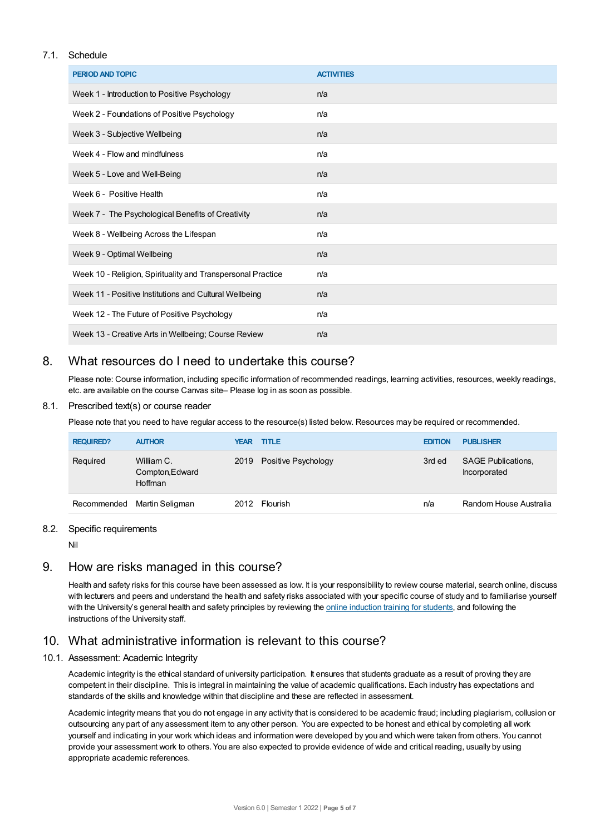#### 7.1. Schedule

| <b>PERIOD AND TOPIC</b>                                     | <b>ACTIVITIES</b> |
|-------------------------------------------------------------|-------------------|
| Week 1 - Introduction to Positive Psychology                | n/a               |
| Week 2 - Foundations of Positive Psychology                 | n/a               |
| Week 3 - Subjective Wellbeing                               | n/a               |
| Week 4 - Flow and mindfulness                               | n/a               |
| Week 5 - Love and Well-Being                                | n/a               |
| Week 6 - Positive Health                                    | n/a               |
| Week 7 - The Psychological Benefits of Creativity           | n/a               |
| Week 8 - Wellbeing Across the Lifespan                      | n/a               |
| Week 9 - Optimal Wellbeing                                  | n/a               |
| Week 10 - Religion, Spirituality and Transpersonal Practice | n/a               |
| Week 11 - Positive Institutions and Cultural Wellbeing      | n/a               |
| Week 12 - The Future of Positive Psychology                 | n/a               |
| Week 13 - Creative Arts in Wellbeing; Course Review         | n/a               |

## 8. What resources do I need to undertake this course?

Please note: Course information, including specific information of recommended readings, learning activities, resources, weekly readings, etc. are available on the course Canvas site– Please log in as soon as possible.

#### 8.1. Prescribed text(s) or course reader

Please note that you need to have regular access to the resource(s) listed below. Resources may be required or recommended.

| <b>REQUIRED?</b> | <b>AUTHOR</b>                            | <b>YEAR TITLE</b>        | <b>EDITION</b> | <b>PUBLISHER</b>                          |
|------------------|------------------------------------------|--------------------------|----------------|-------------------------------------------|
| Required         | William C.<br>Compton, Edward<br>Hoffman | 2019 Positive Psychology | 3rd ed         | <b>SAGE Publications,</b><br>Incorporated |
|                  | Recommended Martin Seligman              | 2012 Flourish            | n/a            | Random House Australia                    |

#### 8.2. Specific requirements

Nil

# 9. How are risks managed in this course?

Health and safety risks for this course have been assessed as low. It is your responsibility to review course material, search online, discuss with lecturers and peers and understand the health and safety risks associated with your specific course of study and to familiarise yourself with the University's general health and safety principles by reviewing the online [induction](https://online.usc.edu.au/webapps/blackboard/content/listContentEditable.jsp?content_id=_632657_1&course_id=_14432_1) training for students, and following the instructions of the University staff.

## 10. What administrative information is relevant to this course?

#### 10.1. Assessment: Academic Integrity

Academic integrity is the ethical standard of university participation. It ensures that students graduate as a result of proving they are competent in their discipline. This is integral in maintaining the value of academic qualifications. Each industry has expectations and standards of the skills and knowledge within that discipline and these are reflected in assessment.

Academic integrity means that you do not engage in any activity that is considered to be academic fraud; including plagiarism, collusion or outsourcing any part of any assessment item to any other person. You are expected to be honest and ethical by completing all work yourself and indicating in your work which ideas and information were developed by you and which were taken from others. You cannot provide your assessment work to others.You are also expected to provide evidence of wide and critical reading, usually by using appropriate academic references.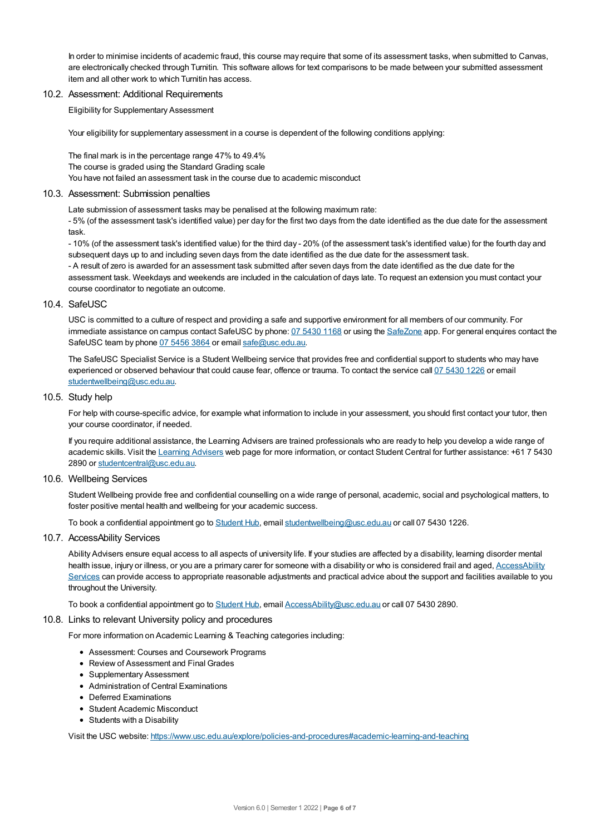In order to minimise incidents of academic fraud, this course may require that some of its assessment tasks, when submitted to Canvas, are electronically checked through Turnitin. This software allows for text comparisons to be made between your submitted assessment item and all other work to which Turnitin has access.

#### 10.2. Assessment: Additional Requirements

Eligibility for Supplementary Assessment

Your eligibility for supplementary assessment in a course is dependent of the following conditions applying:

The final mark is in the percentage range 47% to 49.4% The course is graded using the Standard Grading scale You have not failed an assessment task in the course due to academic misconduct

#### 10.3. Assessment: Submission penalties

Late submission of assessment tasks may be penalised at the following maximum rate:

- 5% (of the assessment task's identified value) per day for the first two days from the date identified as the due date for the assessment task.

- 10% (of the assessment task's identified value) for the third day - 20% (of the assessment task's identified value) for the fourth day and subsequent days up to and including seven days from the date identified as the due date for the assessment task.

- A result of zero is awarded for an assessment task submitted after seven days from the date identified as the due date for the assessment task. Weekdays and weekends are included in the calculation of days late. To request an extension you must contact your course coordinator to negotiate an outcome.

#### 10.4. SafeUSC

USC is committed to a culture of respect and providing a safe and supportive environment for all members of our community. For immediate assistance on campus contact SafeUSC by phone: 07 [5430](tel:07%205430%201168) 1168 or using the [SafeZone](https://www.safezoneapp.com) app. For general enquires contact the SafeUSC team by phone 07 [5456](tel:07%205456%203864) 3864 or email [safe@usc.edu.au](mailto:safe@usc.edu.au).

The SafeUSC Specialist Service is a Student Wellbeing service that provides free and confidential support to students who may have experienced or observed behaviour that could cause fear, offence or trauma. To contact the service call 07 [5430](tel:07%205430%201226) 1226 or email [studentwellbeing@usc.edu.au](mailto:studentwellbeing@usc.edu.au).

#### 10.5. Study help

For help with course-specific advice, for example what information to include in your assessment, you should first contact your tutor, then your course coordinator, if needed.

If you require additional assistance, the Learning Advisers are trained professionals who are ready to help you develop a wide range of academic skills. Visit the Learning [Advisers](https://www.usc.edu.au/current-students/student-support/academic-and-study-support/learning-advisers) web page for more information, or contact Student Central for further assistance: +61 7 5430 2890 or [studentcentral@usc.edu.au](mailto:studentcentral@usc.edu.au).

#### 10.6. Wellbeing Services

Student Wellbeing provide free and confidential counselling on a wide range of personal, academic, social and psychological matters, to foster positive mental health and wellbeing for your academic success.

To book a confidential appointment go to [Student](https://studenthub.usc.edu.au/) Hub, email [studentwellbeing@usc.edu.au](mailto:studentwellbeing@usc.edu.au) or call 07 5430 1226.

#### 10.7. AccessAbility Services

Ability Advisers ensure equal access to all aspects of university life. If your studies are affected by a disability, learning disorder mental health issue, injury or illness, or you are a primary carer for someone with a disability or who is considered frail and aged, [AccessAbility](https://www.usc.edu.au/learn/student-support/accessability-services/documentation-requirements) Services can provide access to appropriate reasonable adjustments and practical advice about the support and facilities available to you throughout the University.

To book a confidential appointment go to [Student](https://studenthub.usc.edu.au/) Hub, email [AccessAbility@usc.edu.au](mailto:AccessAbility@usc.edu.au) or call 07 5430 2890.

#### 10.8. Links to relevant University policy and procedures

For more information on Academic Learning & Teaching categories including:

- Assessment: Courses and Coursework Programs
- Review of Assessment and Final Grades
- Supplementary Assessment
- Administration of Central Examinations
- Deferred Examinations
- Student Academic Misconduct
- Students with a Disability

Visit the USC website: <https://www.usc.edu.au/explore/policies-and-procedures#academic-learning-and-teaching>